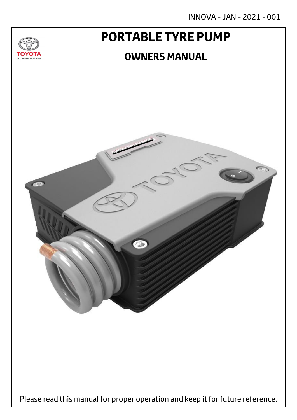INNOVA - JAN - 2021 - 001

# **PORTABLE TYRE PUMP**

<u>JU/</u>

**TOYOTA** ALL ABOUT THE DRIVE

## **OWNERS MANUAL**

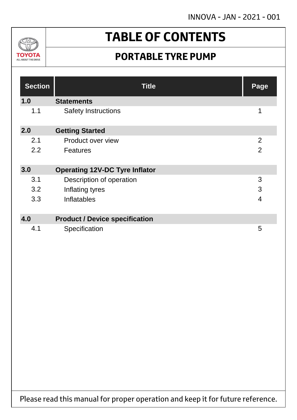INNOVA - JAN - 2021 - 001



# **TABLE OF CONTENTS**

## **PORTABLE TYRE PUMP**

| <b>Section</b> | <b>Title</b>                          | Page           |
|----------------|---------------------------------------|----------------|
| 1.0            | <b>Statements</b>                     |                |
| 1.1            | <b>Safety Instructions</b>            | 1              |
| 2.0            | <b>Getting Started</b>                |                |
| 2.1            | Product over view                     | 2              |
| 2.2            | <b>Features</b>                       | $\overline{2}$ |
| 3.0            | <b>Operating 12V-DC Tyre Inflator</b> |                |
| 3.1            | Description of operation              | 3              |
| 3.2            | Inflating tyres                       | 3              |
| 3.3            | Inflatables                           | $\overline{4}$ |
|                |                                       |                |
| 4.0            | <b>Product / Device specification</b> |                |
| 4.1            | Specification                         | 5              |

Please read this manual for proper operation and keep it for future reference.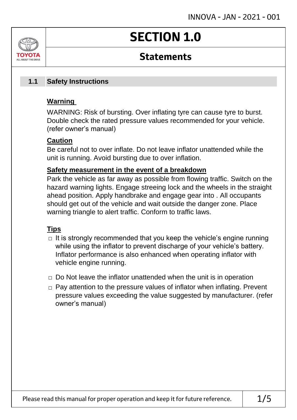# **SECTION 1.0**

## **Statements**

#### **Safety Instructions 1.1**

### **Warning**

ALL AROUT THE DRIV

WARNING: Risk of bursting. Over inflating tyre can cause tyre to burst. Double check the rated pressure values recommended for your vehicle. (refer owner's manual)

### **Caution**

Be careful not to over inflate. Do not leave inflator unattended while the unit is running. Avoid bursting due to over inflation.

### **Safety measurement in the event of a breakdown**

Park the vehicle as far away as possible from flowing traffic. Switch on the hazard warning lights. Engage streeing lock and the wheels in the straight ahead position. Apply handbrake and engage gear into . All occupants should get out of the vehicle and wait outside the danger zone. Place warning triangle to alert traffic. Conform to traffic laws.

### **Tips**

- $\Box$  It is strongly recommended that you keep the vehicle's engine running while using the inflator to prevent discharge of your vehicle's battery. Inflator performance is also enhanced when operating inflator with vehicle engine running.
- $\Box$  Do Not leave the inflator unattended when the unit is in operation
- □ Pay attention to the pressure values of inflator when inflating. Prevent pressure values exceeding the value suggested by manufacturer. (refer owner's manual)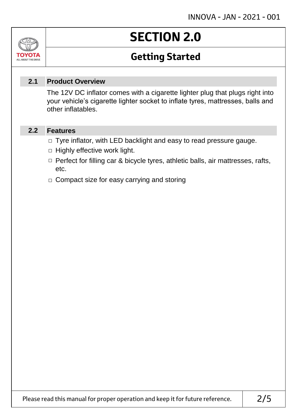### Jn TOVOIL ALL ABOUT THE DRIVE

# **SECTION 2.0**

## **Getting Started**

#### **Product Overview 2.1**

The 12V DC inflator comes with a cigarette lighter plug that plugs right into your vehicle's cigarette lighter socket to inflate tyres, mattresses, balls and other inflatables.

#### **Features 2.2**

- □ Tyre inflator, with LED backlight and easy to read pressure gauge.
- $\Box$  Highly effective work light.
- □ Perfect for filling car & bicycle tyres, athletic balls, air mattresses, rafts, etc.
- □ Compact size for easy carrying and storing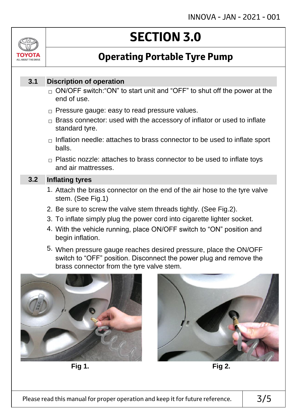

# **SECTION 3.0**

## **Operating Portable Tyre Pump**

#### **Discription of operation 3.1**

- $_\square$  ON/OFF switch:"ON" to start unit and "OFF" to shut off the power at the end of use.
- $\Box$  Pressure gauge: easy to read pressure values.
- $\Box$  Brass connector: used with the accessory of inflator or used to inflate standard tyre.
- $\Box$  Inflation needle: attaches to brass connector to be used to inflate sport balls.
- $\Box$  Plastic nozzle: attaches to brass connector to be used to inflate toys and air mattresses.

#### **Inflating tyres 3.2**

- 1. Attach the brass connector on the end of the air hose to the tyre valve stem. (See Fig.1)
- 2. Be sure to screw the valve stem threads tightly. (See Fig.2).
- 3. To inflate simply plug the power cord into cigarette lighter socket.
- 4. With the vehicle running, place ON/OFF switch to "ON" position and begin inflation.
- 5. When pressure gauge reaches desired pressure, place the ON/OFF switch to "OFF" position. Disconnect the power plug and remove the brass connector from the tyre valve stem.



**Fig 1. Fig 2.**

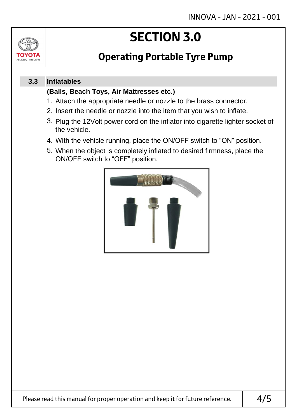

# **SECTION 3.0**

## **Operating Portable Tyre Pump**

#### **Inflatables 3.3**

### **(Balls, Beach Toys, Air Mattresses etc.)**

- 1. Attach the appropriate needle or nozzle to the brass connector.
- 2. Insert the needle or nozzle into the item that you wish to inflate.
- 3. Plug the 12Volt power cord on the inflator into cigarette lighter socket of the vehicle.
- 4. With the vehicle running, place the ON/OFF switch to "ON" position.
- 5. When the object is completely inflated to desired firmness, place the ON/OFF switch to "OFF" position.